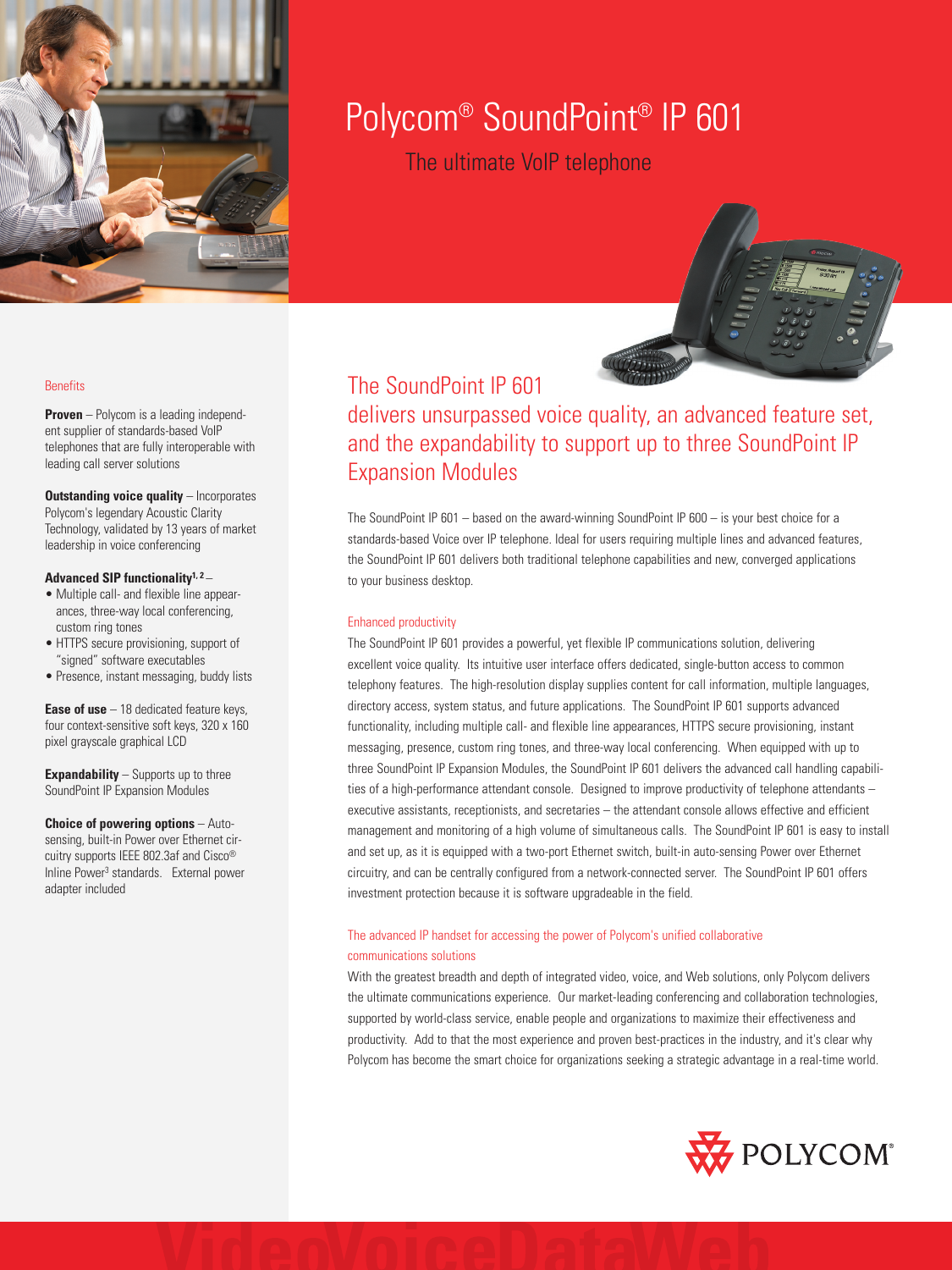

# Polycom® SoundPoint® IP 601

The ultimate VoIP telephone



# The SoundPoint IP 601

delivers unsurpassed voice quality, an advanced feature set, and the expandability to support up to three SoundPoint IP Expansion Modules

The SoundPoint IP 601 – based on the award-winning SoundPoint IP 600 – is your best choice for a standards-based Voice over IP telephone. Ideal for users requiring multiple lines and advanced features, the SoundPoint IP 601 delivers both traditional telephone capabilities and new, converged applications to your business desktop.

# Enhanced productivity

The SoundPoint IP 601 provides a powerful, yet flexible IP communications solution, delivering excellent voice quality. Its intuitive user interface offers dedicated, single-button access to common telephony features. The high-resolution display supplies content for call information, multiple languages, directory access, system status, and future applications. The SoundPoint IP 601 supports advanced functionality, including multiple call- and flexible line appearances, HTTPS secure provisioning, instant messaging, presence, custom ring tones, and three-way local conferencing. When equipped with up to three SoundPoint IP Expansion Modules, the SoundPoint IP 601 delivers the advanced call handling capabilities of a high-performance attendant console. Designed to improve productivity of telephone attendants – executive assistants, receptionists, and secretaries – the attendant console allows effective and efficient management and monitoring of a high volume of simultaneous calls. The SoundPoint IP 601 is easy to install and set up, as it is equipped with a two-port Ethernet switch, built-in auto-sensing Power over Ethernet circuitry, and can be centrally configured from a network-connected server. The SoundPoint IP 601 offers investment protection because it is software upgradeable in the field.

# The advanced IP handset for accessing the power of Polycom's unified collaborative communications solutions

With the greatest breadth and depth of integrated video, voice, and Web solutions, only Polycom delivers the ultimate communications experience. Our market-leading conferencing and collaboration technologies, supported by world-class service, enable people and organizations to maximize their effectiveness and productivity. Add to that the most experience and proven best-practices in the industry, and it's clear why Polycom has become the smart choice for organizations seeking a strategic advantage in a real-time world.



# **Benefits**

**Proven** – Polycom is a leading independent supplier of standards-based VoIP telephones that are fully interoperable with leading call server solutions

**Outstanding voice quality - Incorporates** Polycom's legendary Acoustic Clarity Technology, validated by 13 years of market leadership in voice conferencing

## **Advanced SIP functionality1, 2** –

- Multiple call- and flexible line appearances, three-way local conferencing, custom ring tones
- HTTPS secure provisioning, support of "signed" software executables
- Presence, instant messaging, buddy lists

**Ease of use** – 18 dedicated feature keys, four context-sensitive soft keys, 320 x 160 pixel grayscale graphical LCD

**Expandability** – Supports up to three SoundPoint IP Expansion Modules

**Choice of powering options** – Autosensing, built-in Power over Ethernet circuitry supports IEEE 802.3af and Cisco® Inline Power<sup>3</sup> standards. External power adapter included